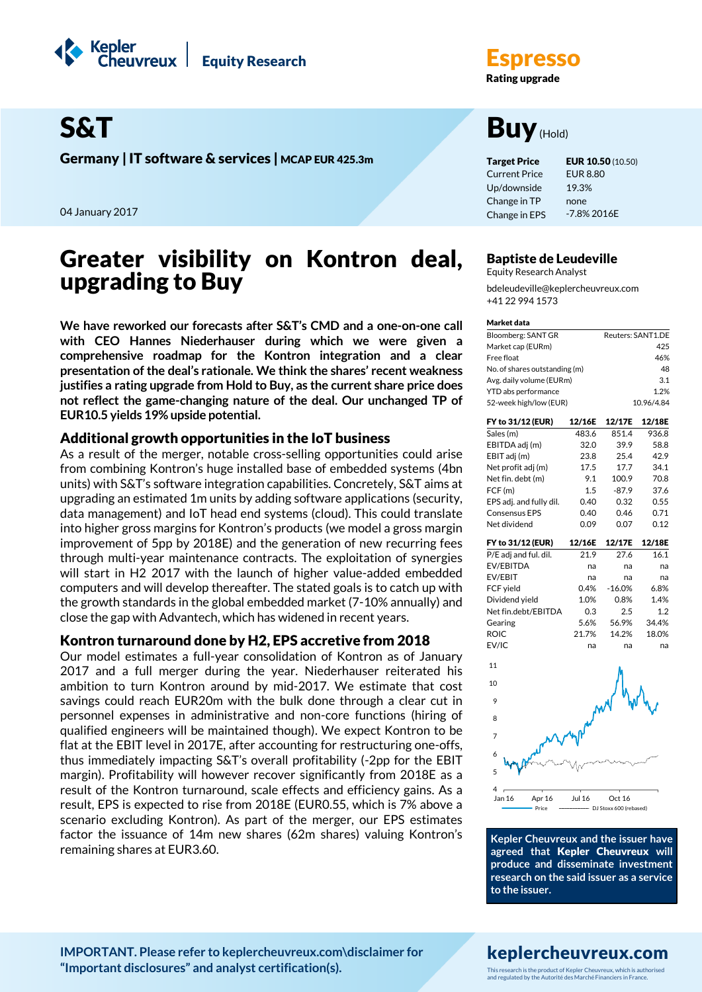



Germany | IT software & services | MCAP EUR 425.3m Target Price EUR 10.50 (10.50)

04 January 2017

## Greater visibility on Kontron deal, upgrading to Buy

**We have reworked our forecasts after S&T's CMD and a one-on-one call with CEO Hannes Niederhauser during which we were given a comprehensive roadmap for the Kontron integration and a clear presentation of the deal's rationale. We think the shares' recent weakness justifies a rating upgrade from Hold to Buy, as the current share price does not reflect the game-changing nature of the deal. Our unchanged TP of EUR10.5 yields 19% upside potential.**

## Additional growth opportunities in the IoT business

As a result of the merger, notable cross-selling opportunities could arise from combining Kontron's huge installed base of embedded systems (4bn units) with S&T's software integration capabilities. Concretely, S&T aims at upgrading an estimated 1m units by adding software applications (security, data management) and IoT head end systems (cloud). This could translate into higher gross margins for Kontron's products (we model a gross margin improvement of 5pp by 2018E) and the generation of new recurring fees through multi-year maintenance contracts. The exploitation of synergies will start in H2 2017 with the launch of higher value-added embedded computers and will develop thereafter. The stated goals is to catch up with the growth standards in the global embedded market (7-10% annually) and close the gap with Advantech, which has widened in recent years.

## Kontron turnaround done by H2, EPS accretive from 2018

Our model estimates a full-year consolidation of Kontron as of January 2017 and a full merger during the year. Niederhauser reiterated his ambition to turn Kontron around by mid-2017. We estimate that cost savings could reach EUR20m with the bulk done through a clear cut in personnel expenses in administrative and non-core functions (hiring of qualified engineers will be maintained though). We expect Kontron to be flat at the EBIT level in 2017E, after accounting for restructuring one-offs, thus immediately impacting S&T's overall profitability (-2pp for the EBIT margin). Profitability will however recover significantly from 2018E as a result of the Kontron turnaround, scale effects and efficiency gains. As a result, EPS is expected to rise from 2018E (EUR0.55, which is 7% above a scenario excluding Kontron). As part of the merger, our EPS estimates factor the issuance of 14m new shares (62m shares) valuing Kontron's remaining shares at EUR3.60.

**Rating upgrade** 

# S&T Buy(Hold)

Current Price Up/downside Change in TP Change in EPS 19.3% none

EUR 8.80 -7.8% 2016E

## Baptiste de Leudeville

Equity Research Analyst bdeleudeville@keplercheuvreux.com +41 22 994 1573

#### Market data

| Reuters: SANT1.DE |
|-------------------|
| 425               |
| 46%               |
| 48                |
| 3.1               |
| 1 2%              |
| 10.96/4.84        |
|                   |

| FY to 31/12 (EUR)       | 12/16E | 12/17E   | 12/18E |
|-------------------------|--------|----------|--------|
| Sales (m)               | 483.6  | 851.4    | 936.8  |
| EBITDA adj (m)          | 32.0   | 39.9     | 58.8   |
| EBIT adj (m)            | 23.8   | 25.4     | 42.9   |
| Net profit adj (m)      | 17.5   | 17.7     | 34.1   |
| Net fin. debt (m)       | 9.1    | 100.9    | 70.8   |
| FCF(m)                  | 1.5    | $-87.9$  | 37.6   |
| EPS adj. and fully dil. | 0.40   | 0.32     | 0.55   |
| <b>Consensus EPS</b>    | 0.40   | 0.46     | 0.71   |
| Net dividend            | 0.09   | 0.07     | 0.12   |
|                         |        |          |        |
| FY to 31/12 (EUR)       | 12/16E | 12/17E   | 12/18E |
| P/E adj and ful. dil.   | 21.9   | 27.6     | 16.1   |
| EV/EBITDA               | na     | na       | na     |
| EV/EBIT                 | na     | na       | na     |
| FCF yield               | 0.4%   | $-16.0%$ | 6.8%   |
| Dividend yield          | 1.0%   | 0.8%     | 1.4%   |
| Net fin.debt/EBITDA     | 0.3    | 2.5      | 1.2    |
| Gearing                 | 5.6%   | 56.9%    | 34.4%  |
| <b>ROIC</b>             | 21.7%  | 14.2%    | 18.0%  |



**Kepler Cheuvreux and the issuer have agreed that** Kepler Cheuvreux **will produce and disseminate investment research on the said issuer as a service to the issuer.**

## **[IMPORTANT. Please refer to keplercheuvreux.com\disclaimer for](https://research.keplercheuvreux.com/ResearchCenter.aspx#/Disclosure)  ["Important disclosures" and analyst certification\(s\).](https://research.keplercheuvreux.com/ResearchCenter.aspx#/Disclosure)**

## keplercheuvreux.com

This research is the product of Kepler Cheuvreux, which is authorised and regulated by the Autorité des Marché Financiers in France.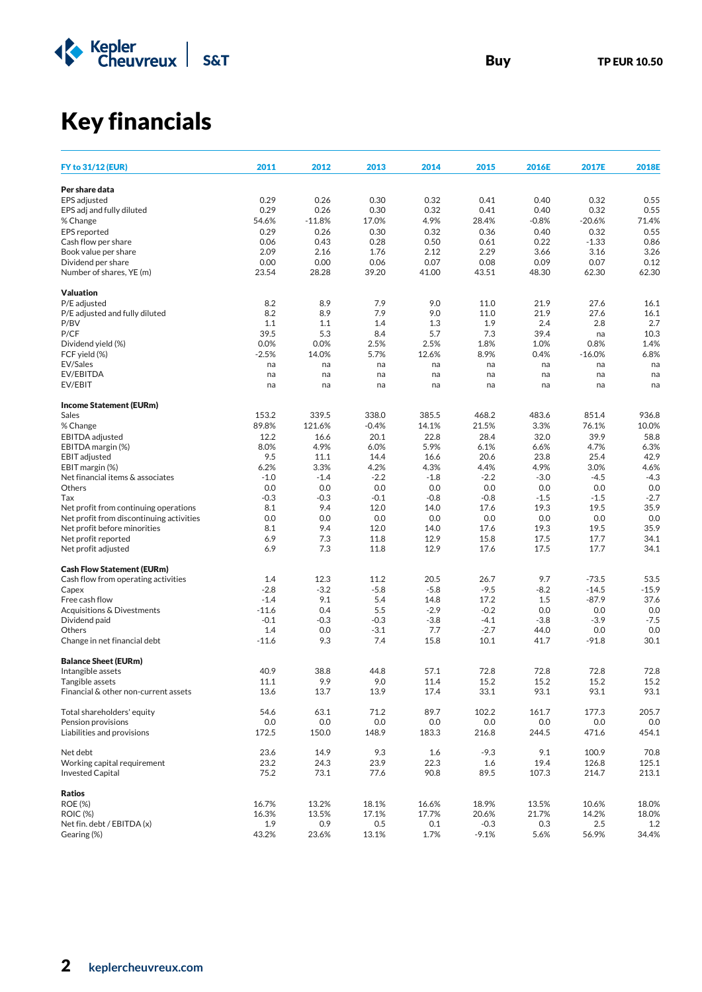

Key financials

| <b>FY to 31/12 (EUR)</b>                 | 2011    | 2012     | 2013    | 2014   | 2015    | 2016E   | 2017E    | 2018E   |
|------------------------------------------|---------|----------|---------|--------|---------|---------|----------|---------|
| Per share data                           |         |          |         |        |         |         |          |         |
| EPS adjusted                             | 0.29    | 0.26     | 0.30    | 0.32   | 0.41    | 0.40    | 0.32     | 0.55    |
| EPS adj and fully diluted                | 0.29    | 0.26     | 0.30    | 0.32   | 0.41    | 0.40    | 0.32     | 0.55    |
| % Change                                 | 54.6%   | $-11.8%$ | 17.0%   | 4.9%   | 28.4%   | $-0.8%$ | $-20.6%$ | 71.4%   |
| EPS reported                             | 0.29    | 0.26     | 0.30    | 0.32   | 0.36    | 0.40    | 0.32     | 0.55    |
| Cash flow per share                      | 0.06    | 0.43     | 0.28    | 0.50   | 0.61    | 0.22    | $-1.33$  | 0.86    |
| Book value per share                     | 2.09    | 2.16     | 1.76    | 2.12   | 2.29    | 3.66    | 3.16     | 3.26    |
| Dividend per share                       | 0.00    | 0.00     | 0.06    | 0.07   | 0.08    | 0.09    | 0.07     | 0.12    |
| Number of shares, YE (m)                 | 23.54   | 28.28    | 39.20   | 41.00  | 43.51   | 48.30   | 62.30    | 62.30   |
| <b>Valuation</b>                         |         |          |         |        |         |         |          |         |
| P/E adjusted                             | 8.2     | 8.9      | 7.9     | 9.0    | 11.0    | 21.9    | 27.6     | 16.1    |
| P/E adjusted and fully diluted           | 8.2     | 8.9      | 7.9     | 9.0    | 11.0    | 21.9    | 27.6     | 16.1    |
| P/BV                                     | 1.1     | 1.1      | 1.4     | 1.3    | 1.9     | 2.4     | 2.8      | 2.7     |
| P/CF                                     | 39.5    | 5.3      | 8.4     | 5.7    | 7.3     | 39.4    | na       | 10.3    |
| Dividend yield (%)                       | 0.0%    | 0.0%     | 2.5%    | 2.5%   | 1.8%    | 1.0%    | 0.8%     | 1.4%    |
| FCF yield (%)                            | $-2.5%$ | 14.0%    | 5.7%    | 12.6%  | 8.9%    | 0.4%    | $-16.0%$ | 6.8%    |
| EV/Sales                                 | na      | na       | na      | na     | na      | na      | na       | na      |
| EV/EBITDA                                | na      | na       | na      | na     | na      | na      | na       | na      |
| EV/EBIT                                  | na      | na       | na      | na     | na      | na      | na       | na      |
| <b>Income Statement (EURm)</b>           |         |          |         |        |         |         |          |         |
| Sales                                    | 153.2   | 339.5    | 338.0   | 385.5  | 468.2   | 483.6   | 851.4    | 936.8   |
| % Change                                 | 89.8%   | 121.6%   | $-0.4%$ | 14.1%  | 21.5%   | 3.3%    | 76.1%    | 10.0%   |
| EBITDA adjusted                          | 12.2    | 16.6     | 20.1    | 22.8   | 28.4    | 32.0    | 39.9     | 58.8    |
| EBITDA margin (%)                        | 8.0%    | 4.9%     | 6.0%    | 5.9%   | 6.1%    | 6.6%    | 4.7%     | 6.3%    |
| <b>EBIT</b> adjusted                     | 9.5     | 11.1     | 14.4    | 16.6   | 20.6    | 23.8    | 25.4     | 42.9    |
| EBIT margin (%)                          | 6.2%    | 3.3%     | 4.2%    | 4.3%   | 4.4%    | 4.9%    | 3.0%     | 4.6%    |
| Net financial items & associates         | $-1.0$  | $-1.4$   | $-2.2$  | $-1.8$ | $-2.2$  | $-3.0$  | $-4.5$   | $-4.3$  |
| Others                                   | 0.0     | 0.0      | 0.0     | 0.0    | 0.0     | 0.0     | 0.0      | 0.0     |
| Tax                                      | $-0.3$  | $-0.3$   | $-0.1$  | $-0.8$ | $-0.8$  | $-1.5$  | $-1.5$   | $-2.7$  |
| Net profit from continuing operations    | 8.1     | 9.4      | 12.0    | 14.0   | 17.6    | 19.3    | 19.5     | 35.9    |
| Net profit from discontinuing activities | 0.0     | 0.0      | 0.0     | 0.0    | 0.0     | 0.0     | 0.0      | 0.0     |
| Net profit before minorities             | 8.1     | 9.4      | 12.0    | 14.0   | 17.6    | 19.3    | 19.5     | 35.9    |
| Net profit reported                      | 6.9     | 7.3      | 11.8    | 12.9   | 15.8    | 17.5    | 17.7     | 34.1    |
| Net profit adjusted                      | 6.9     | 7.3      | 11.8    | 12.9   | 17.6    | 17.5    | 17.7     | 34.1    |
| <b>Cash Flow Statement (EURm)</b>        |         |          |         |        |         |         |          |         |
| Cash flow from operating activities      | 1.4     | 12.3     | 11.2    | 20.5   | 26.7    | 9.7     | $-73.5$  | 53.5    |
| Capex                                    | $-2.8$  | $-3.2$   | $-5.8$  | $-5.8$ | $-9.5$  | $-8.2$  | $-14.5$  | $-15.9$ |
| Free cash flow                           | $-1.4$  | 9.1      | 5.4     | 14.8   | 17.2    | 1.5     | $-87.9$  | 37.6    |
| Acquisitions & Divestments               | $-11.6$ | 0.4      | 5.5     | $-2.9$ | $-0.2$  | 0.0     | 0.0      | 0.0     |
| Dividend paid                            | $-0.1$  | $-0.3$   | $-0.3$  | $-3.8$ | $-4.1$  | $-3.8$  | $-3.9$   | $-7.5$  |
| Others                                   | 1.4     | 0.0      | $-3.1$  | 7.7    | $-2.7$  | 44.0    | 0.0      | 0.0     |
| Change in net financial debt             | $-11.6$ | 9.3      | 7.4     | 15.8   | 10.1    | 41.7    | $-91.8$  | 30.1    |
| <b>Balance Sheet (EURm)</b>              |         |          |         |        |         |         |          |         |
| Intangible assets                        | 40.9    | 38.8     | 44.8    | 57.1   | 72.8    | 72.8    | 72.8     | 72.8    |
| Tangible assets                          | 11.1    | 9.9      | 9.0     | 11.4   | 15.2    | 15.2    | 15.2     | 15.2    |
| Financial & other non-current assets     | 13.6    | 13.7     | 13.9    | 17.4   | 33.1    | 93.1    | 93.1     | 93.1    |
| Total shareholders' equity               | 54.6    | 63.1     | 71.2    | 89.7   | 102.2   | 161.7   | 177.3    | 205.7   |
| Pension provisions                       | 0.0     | 0.0      | 0.0     | 0.0    | 0.0     | 0.0     | 0.0      | 0.0     |
| Liabilities and provisions               | 172.5   | 150.0    | 148.9   | 183.3  | 216.8   | 244.5   | 471.6    | 454.1   |
| Net debt                                 | 23.6    | 14.9     | 9.3     | 1.6    | $-9.3$  | 9.1     | 100.9    | 70.8    |
| Working capital requirement              | 23.2    | 24.3     | 23.9    | 22.3   | 1.6     | 19.4    | 126.8    | 125.1   |
| <b>Invested Capital</b>                  | 75.2    | 73.1     | 77.6    | 90.8   | 89.5    | 107.3   | 214.7    | 213.1   |
| <b>Ratios</b>                            |         |          |         |        |         |         |          |         |
| <b>ROE (%)</b>                           | 16.7%   | 13.2%    | 18.1%   | 16.6%  | 18.9%   | 13.5%   | 10.6%    | 18.0%   |
| <b>ROIC (%)</b>                          | 16.3%   | 13.5%    | 17.1%   | 17.7%  | 20.6%   | 21.7%   | 14.2%    | 18.0%   |
| Net fin. debt / EBITDA (x)               | 1.9     | 0.9      | 0.5     | 0.1    | $-0.3$  | 0.3     | 2.5      | 1.2     |
| Gearing (%)                              | 43.2%   | 23.6%    | 13.1%   | 1.7%   | $-9.1%$ | 5.6%    | 56.9%    | 34.4%   |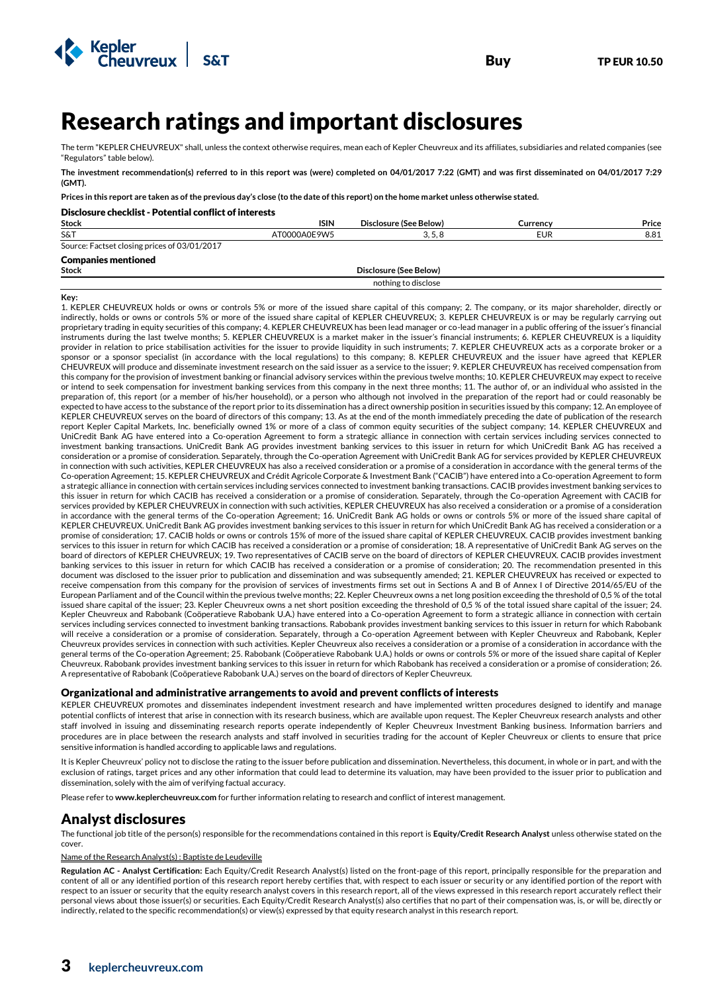

# Research ratings and important disclosures

The term "KEPLER CHEUVREUX" shall, unless the context otherwise requires, mean each of Kepler Cheuvreux and its affiliates, subsidiaries and related companies (see "Regulators" table below).

**The investment recommendation(s) referred to in this report was (were) completed on 04/01/2017 7:22 (GMT) and was first disseminated on 04/01/2017 7:29 (GMT).**

**Prices in this report are taken as of the previous day's close (to the date of this report) on the home market unless otherwise stated.** 

### Disclosure checklist - Potential conflict of interests

Kepler<br>Cheuvreux

| <b>Stock</b>                                 | <b>ISIN</b>  | Disclosure (See Below) | Currencv   | Price |
|----------------------------------------------|--------------|------------------------|------------|-------|
| S&T                                          | AT0000A0E9W5 | 3.5.8                  | <b>EUR</b> | 8.81  |
| Source: Factset closing prices of 03/01/2017 |              |                        |            |       |
| <b>Companies mentioned</b>                   |              |                        |            |       |
| <b>Stock</b>                                 |              | Disclosure (See Below) |            |       |

nothing to disclose

**Key:**

1. KEPLER CHEUVREUX holds or owns or controls 5% or more of the issued share capital of this company; 2. The company, or its major shareholder, directly or indirectly, holds or owns or controls 5% or more of the issued share capital of KEPLER CHEUVREUX; 3. KEPLER CHEUVREUX is or may be regularly carrying out proprietary trading in equity securities of this company; 4. KEPLER CHEUVREUX has been lead manager or co-lead manager in a public offering of the issuer's financial instruments during the last twelve months; 5. KEPLER CHEUVREUX is a market maker in the issuer's financial instruments; 6. KEPLER CHEUVREUX is a liquidity provider in relation to price stabilisation activities for the issuer to provide liquidity in such instruments; 7. KEPLER CHEUVREUX acts as a corporate broker or a sponsor or a sponsor specialist (in accordance with the local regulations) to this company; 8. KEPLER CHEUVREUX and the issuer have agreed that KEPLER CHEUVREUX will produce and disseminate investment research on the said issuer as a service to the issuer; 9. KEPLER CHEUVREUX has received compensation from this company for the provision of investment banking or financial advisory services within the previous twelve months; 10. KEPLER CHEUVREUX may expect to receive or intend to seek compensation for investment banking services from this company in the next three months; 11. The author of, or an individual who assisted in the preparation of, this report (or a member of his/her household), or a person who although not involved in the preparation of the report had or could reasonably be expected to have access to the substance of the report prior to its dissemination has a direct ownership position in securities issued by this company; 12. An employee of KEPLER CHEUVREUX serves on the board of directors of this company; 13. As at the end of the month immediately preceding the date of publication of the research report Kepler Capital Markets, Inc. beneficially owned 1% or more of a class of common equity securities of the subject company; 14. KEPLER CHEUVREUX and UniCredit Bank AG have entered into a Co-operation Agreement to form a strategic alliance in connection with certain services including services connected to investment banking transactions. UniCredit Bank AG provides investment banking services to this issuer in return for which UniCredit Bank AG has received a consideration or a promise of consideration. Separately, through the Co-operation Agreement with UniCredit Bank AG for services provided by KEPLER CHEUVREUX in connection with such activities, KEPLER CHEUVREUX has also a received consideration or a promise of a consideration in accordance with the general terms of the Co-operation Agreement; 15. KEPLER CHEUVREUX and Crédit Agricole Corporate & Investment Bank ("CACIB") have entered into a Co-operation Agreement to form a strategic alliance in connection with certain services including services connected to investment banking transactions. CACIB provides investment banking services to this issuer in return for which CACIB has received a consideration or a promise of consideration. Separately, through the Co-operation Agreement with CACIB for services provided by KEPLER CHEUVREUX in connection with such activities, KEPLER CHEUVREUX has also received a consideration or a promise of a consideration in accordance with the general terms of the Co-operation Agreement; 16. UniCredit Bank AG holds or owns or controls 5% or more of the issued share capital of KEPLER CHEUVREUX. UniCredit Bank AG provides investment banking services to this issuer in return for which UniCredit Bank AG has received a consideration or a promise of consideration; 17. CACIB holds or owns or controls 15% of more of the issued share capital of KEPLER CHEUVREUX. CACIB provides investment banking services to this issuer in return for which CACIB has received a consideration or a promise of consideration; 18. A representative of UniCredit Bank AG serves on the board of directors of KEPLER CHEUVREUX; 19. Two representatives of CACIB serve on the board of directors of KEPLER CHEUVREUX. CACIB provides investment banking services to this issuer in return for which CACIB has received a consideration or a promise of consideration; 20. The recommendation presented in this document was disclosed to the issuer prior to publication and dissemination and was subsequently amended; 21. KEPLER CHEUVREUX has received or expected to receive compensation from this company for the provision of services of investments firms set out in Sections A and B of Annex I of Directive 2014/65/EU of the European Parliament and of the Council within the previous twelve months; 22. Kepler Cheuvreux owns a net long position exceeding the threshold of 0,5 % of the total issued share capital of the issuer; 23. Kepler Cheuvreux owns a net short position exceeding the threshold of 0,5 % of the total issued share capital of the issuer; 24. Kepler Cheuvreux and Rabobank (Coöperatieve Rabobank U.A.) have entered into a Co-operation Agreement to form a strategic alliance in connection with certain services including services connected to investment banking transactions. Rabobank provides investment banking services to this issuer in return for which Rabobank will receive a consideration or a promise of consideration. Separately, through a Co-operation Agreement between with Kepler Cheuvreux and Rabobank, Kepler Cheuvreux provides services in connection with such activities. Kepler Cheuvreux also receives a consideration or a promise of a consideration in accordance with the general terms of the Co-operation Agreement; 25. Rabobank (Coöperatieve Rabobank U.A.) holds or owns or controls 5% or more of the issued share capital of Kepler Cheuvreux. Rabobank provides investment banking services to this issuer in return for which Rabobank has received a consideration or a promise of consideration; 26. A representative of Rabobank (Coöperatieve Rabobank U.A.) serves on the board of directors of Kepler Cheuvreux.

#### Organizational and administrative arrangements to avoid and prevent conflicts of interests

KEPLER CHEUVREUX promotes and disseminates independent investment research and have implemented written procedures designed to identify and manage potential conflicts of interest that arise in connection with its research business, which are available upon request. The Kepler Cheuvreux research analysts and other staff involved in issuing and disseminating research reports operate independently of Kepler Cheuvreux Investment Banking business. Information barriers and procedures are in place between the research analysts and staff involved in securities trading for the account of Kepler Cheuvreux or clients to ensure that price sensitive information is handled according to applicable laws and regulations.

It is Kepler Cheuvreux' policy not to disclose the rating to the issuer before publication and dissemination. Nevertheless, this document, in whole or in part, and with the exclusion of ratings, target prices and any other information that could lead to determine its valuation, may have been provided to the issuer prior to publication and dissemination, solely with the aim of verifying factual accuracy.

Please refer to **www.keplercheuvreux.com** for further information relating to research and conflict of interest management.

## Analyst disclosures

The functional job title of the person(s) responsible for the recommendations contained in this report is **Equity/Credit Research Analyst** unless otherwise stated on the cover.

#### Name of the Research Analyst(s) : Baptiste de Leudeville

**Regulation AC - Analyst Certification:** Each Equity/Credit Research Analyst(s) listed on the front-page of this report, principally responsible for the preparation and content of all or any identified portion of this research report hereby certifies that, with respect to each issuer or security or any identified portion of the report with respect to an issuer or security that the equity research analyst covers in this research report, all of the views expressed in this research report accurately reflect their personal views about those issuer(s) or securities. Each Equity/Credit Research Analyst(s) also certifies that no part of their compensation was, is, or will be, directly or indirectly, related to the specific recommendation(s) or view(s) expressed by that equity research analyst in this research report.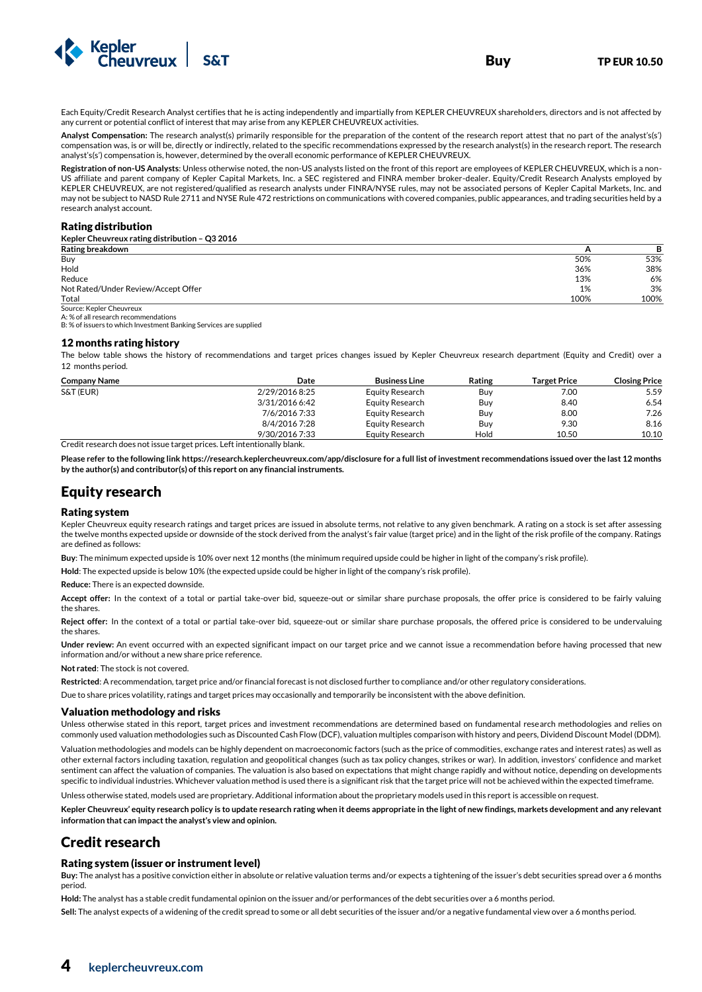

Each Equity/Credit Research Analyst certifies that he is acting independently and impartially from KEPLER CHEUVREUX shareholders, directors and is not affected by any current or potential conflict of interest that may arise from any KEPLER CHEUVREUX activities.

**Analyst Compensation:** The research analyst(s) primarily responsible for the preparation of the content of the research report attest that no part of the analyst's(s') compensation was, is or will be, directly or indirectly, related to the specific recommendations expressed by the research analyst(s) in the research report. The research analyst's(s') compensation is, however, determined by the overall economic performance of KEPLER CHEUVREUX.

**Registration of non-US Analysts**: Unless otherwise noted, the non-US analysts listed on the front of this report are employees of KEPLER CHEUVREUX, which is a non-US affiliate and parent company of Kepler Capital Markets, Inc. a SEC registered and FINRA member broker-dealer. Equity/Credit Research Analysts employed by KEPLER CHEUVREUX, are not registered/qualified as research analysts under FINRA/NYSE rules, may not be associated persons of Kepler Capital Markets, Inc. and may not be subject to NASD Rule 2711 and NYSE Rule 472 restrictions on communications with covered companies, public appearances, and trading securities held by a research analyst account.

#### Rating distribution

**Kepler Cheuvreux rating distribution – Q3 2016** 

| Rating breakdown                    |      |      |
|-------------------------------------|------|------|
| Buy                                 | 50%  | 53%  |
| Hold                                | 36%  | 38%  |
| Reduce                              | 13%  | 6%   |
| Not Rated/Under Review/Accept Offer | 1%   | 3%   |
| Total                               | 100% | 100% |
| Source: Kepler Cheuvreux            |      |      |

A: % of all research recommendations

B: % of issuers to which Investment Banking Services are supplied

#### 12 months rating history

The below table shows the history of recommendations and target prices changes issued by Kepler Cheuvreux research department (Equity and Credit) over a 12 months period.

| <b>Company Name</b> | Date           | <b>Business Line</b> | Rating | <b>Target Price</b> | <b>Closing Price</b> |
|---------------------|----------------|----------------------|--------|---------------------|----------------------|
| S&T (EUR)           | 2/29/2016 8:25 | Equity Research      | Buv    | 7.00                | 5.59                 |
|                     | 3/31/2016 6:42 | Equity Research      | Buv    | 8.40                | 6.54                 |
|                     | 7/6/2016 7:33  | Equity Research      | Buy    | 8.00                | 7.26                 |
|                     | 8/4/2016 7:28  | Equity Research      | Buv    | 9.30                | 8.16                 |
|                     | 9/30/2016 7:33 | Equity Research      | Hold   | 10.50               | 10.10                |

Credit research does not issue target prices. Left intentionally blank.

**Please refer to the following link https://research.keplercheuvreux.com/app/disclosure for a full list of investment recommendations issued over the last 12 months by the author(s) and contributor(s) of this report on any financial instruments.**

### Equity research

#### Rating system

Kepler Cheuvreux equity research ratings and target prices are issued in absolute terms, not relative to any given benchmark. A rating on a stock is set after assessing the twelve months expected upside or downside of the stock derived from the analyst's fair value (target price) and in the light of the risk profile of the company. Ratings are defined as follows:

**Buy**: The minimum expected upside is 10% over next 12 months (the minimum required upside could be higher in light of the company's risk profile).

**Hold**: The expected upside is below 10% (the expected upside could be higher in light of the company's risk profile).

**Reduce:** There is an expected downside.

**Accept offer:** In the context of a total or partial take-over bid, squeeze-out or similar share purchase proposals, the offer price is considered to be fairly valuing the shares.

**Reject offer:** In the context of a total or partial take-over bid, squeeze-out or similar share purchase proposals, the offered price is considered to be undervaluing the shares.

**Under review:** An event occurred with an expected significant impact on our target price and we cannot issue a recommendation before having processed that new information and/or without a new share price reference.

**Not rated**: The stock is not covered.

**Restricted**: A recommendation, target price and/or financial forecast is not disclosed further to compliance and/or other regulatory considerations.

Due to share prices volatility, ratings and target prices may occasionally and temporarily be inconsistent with the above definition.

#### Valuation methodology and risks

Unless otherwise stated in this report, target prices and investment recommendations are determined based on fundamental research methodologies and relies on commonly used valuation methodologies such as Discounted Cash Flow (DCF), valuation multiples comparison with history and peers, Dividend Discount Model (DDM).

Valuation methodologies and models can be highly dependent on macroeconomic factors (such as the price of commodities, exchange rates and interest rates) as well as other external factors including taxation, regulation and geopolitical changes (such as tax policy changes, strikes or war). In addition, investors' confidence and market sentiment can affect the valuation of companies. The valuation is also based on expectations that might change rapidly and without notice, depending on developments specific to individual industries. Whichever valuation method is used there is a significant risk that the target price will not be achieved within the expected timeframe.

Unless otherwise stated, models used are proprietary. Additional information about the proprietary models used in this report is accessible on request.

**Kepler Cheuvreux' equity research policy is to update research rating when it deems appropriate in the light of new findings, markets development and any relevant information that can impact the analyst's view and opinion.** 

### Credit research

#### Rating system (issuer or instrument level)

**Buy:** The analyst has a positive conviction either in absolute or relative valuation terms and/or expects a tightening of the issuer's debt securities spread over a 6 months period.

**Hold:** The analyst has a stable credit fundamental opinion on the issuer and/or performances of the debt securities over a 6 months period.

**Sell:** The analyst expects of a widening of the credit spread to some or all debt securities of the issuer and/or a negative fundamental view over a 6 months period.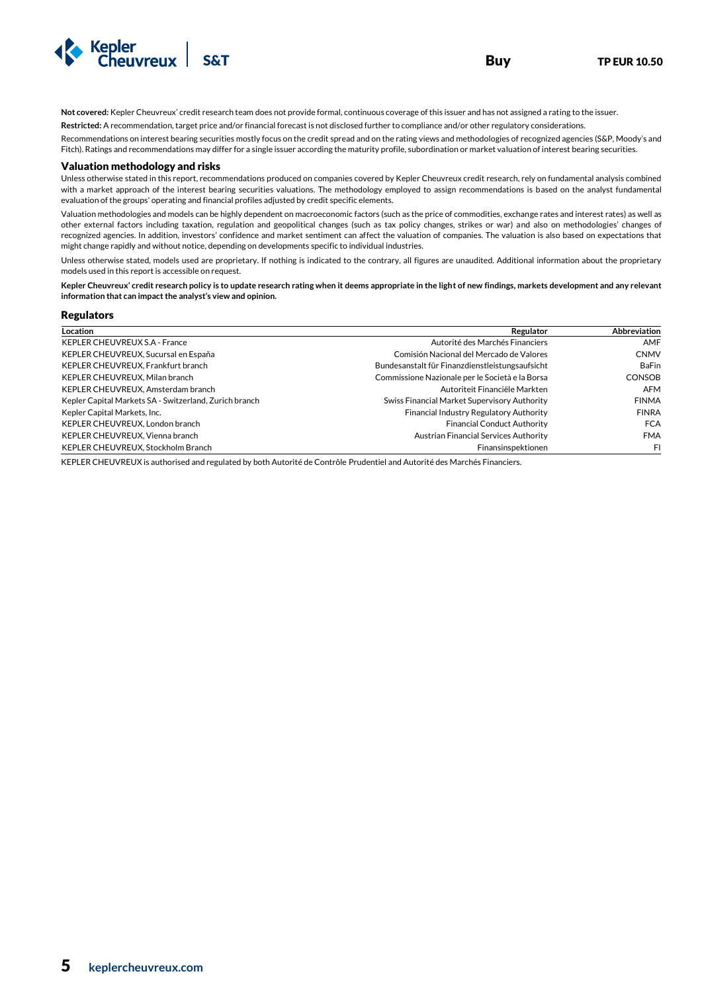

**Not covered:** Kepler Cheuvreux' credit research team does not provide formal, continuous coverage of this issuer and has not assigned a rating to the issuer.

**Restricted:** A recommendation, target price and/or financial forecast is not disclosed further to compliance and/or other regulatory considerations.

Recommendations on interest bearing securities mostly focus on the credit spread and on the rating views and methodologies of recognized agencies (S&P, Moody's and Fitch). Ratings and recommendations may differ for a single issuer according the maturity profile, subordination or market valuation of interest bearing securities.

#### Valuation methodology and risks

Unless otherwise stated in this report, recommendations produced on companies covered by Kepler Cheuvreux credit research, rely on fundamental analysis combined with a market approach of the interest bearing securities valuations. The methodology employed to assign recommendations is based on the analyst fundamental evaluation of the groups' operating and financial profiles adjusted by credit specific elements.

Valuation methodologies and models can be highly dependent on macroeconomic factors (such as the price of commodities, exchange rates and interest rates) as well as other external factors including taxation, regulation and geopolitical changes (such as tax policy changes, strikes or war) and also on methodologies' changes of recognized agencies. In addition, investors' confidence and market sentiment can affect the valuation of companies. The valuation is also based on expectations that might change rapidly and without notice, depending on developments specific to individual industries.

Unless otherwise stated, models used are proprietary. If nothing is indicated to the contrary, all figures are unaudited. Additional information about the proprietary models used in this report is accessible on request.

**Kepler Cheuvreux' credit research policy is to update research rating when it deems appropriate in the light of new findings, markets development and any relevant information that can impact the analyst's view and opinion.** 

#### Regulators

| Location                                               | Regulator                                       | Abbreviation  |
|--------------------------------------------------------|-------------------------------------------------|---------------|
| <b>KEPLER CHEUVREUX S.A - France</b>                   | Autorité des Marchés Financiers                 | AMF           |
| KEPLER CHEUVREUX, Sucursal en España                   | Comisión Nacional del Mercado de Valores        | <b>CNMV</b>   |
| KEPLER CHEUVREUX, Frankfurt branch                     | Bundesanstalt für Finanzdienstleistungsaufsicht | <b>BaFin</b>  |
| KEPLER CHEUVREUX, Milan branch                         | Commissione Nazionale per le Società e la Borsa | <b>CONSOB</b> |
| KEPLER CHEUVREUX, Amsterdam branch                     | Autoriteit Financiële Markten                   | <b>AFM</b>    |
| Kepler Capital Markets SA - Switzerland, Zurich branch | Swiss Financial Market Supervisory Authority    | <b>FINMA</b>  |
| Kepler Capital Markets, Inc.                           | Financial Industry Regulatory Authority         | <b>FINRA</b>  |
| KEPLER CHEUVREUX, London branch                        | <b>Financial Conduct Authority</b>              | <b>FCA</b>    |
| KEPLER CHEUVREUX, Vienna branch                        | Austrian Financial Services Authority           | <b>FMA</b>    |
| KEPLER CHEUVREUX, Stockholm Branch                     | Finansinspektionen                              | FI            |

KEPLER CHEUVREUX is authorised and regulated by both Autorité de Contrôle Prudentiel and Autorité des Marchés Financiers.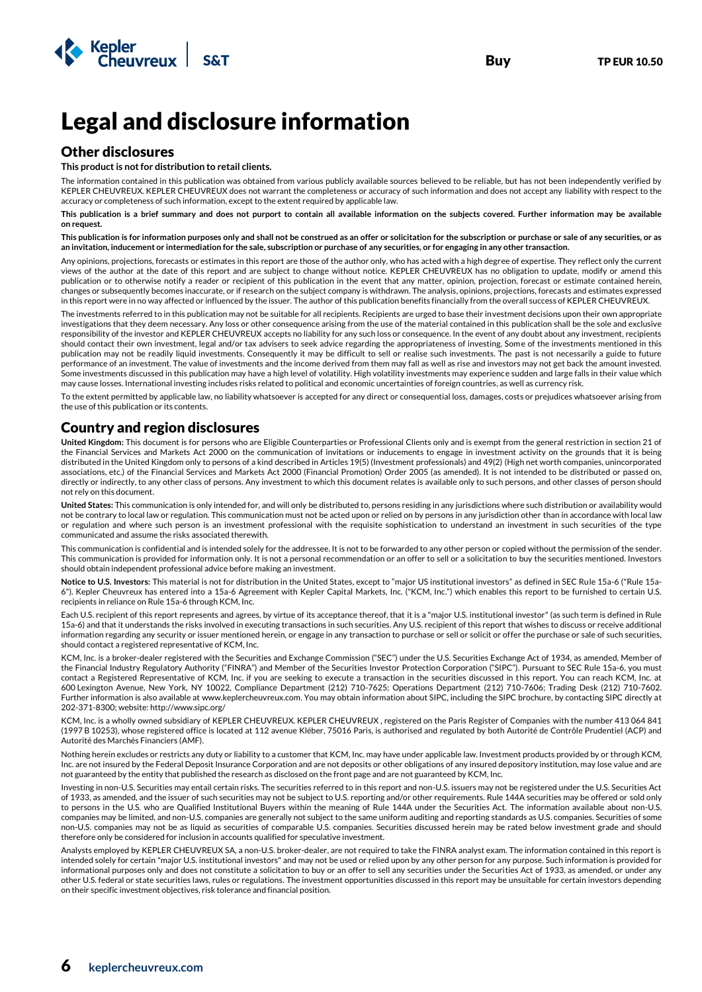

# Legal and disclosure information

## Other disclosures

#### **This product is not for distribution to retail clients.**

The information contained in this publication was obtained from various publicly available sources believed to be reliable, but has not been independently verified by KEPLER CHEUVREUX. KEPLER CHEUVREUX does not warrant the completeness or accuracy of such information and does not accept any liability with respect to the accuracy or completeness of such information, except to the extent required by applicable law.

**This publication is a brief summary and does not purport to contain all available information on the subjects covered. Further information may be available on request.** 

**This publication is for information purposes only and shall not be construed as an offer or solicitation for the subscription or purchase or sale of any securities, or as an invitation, inducement or intermediation for the sale, subscription or purchase of any securities, or for engaging in any other transaction.** 

Any opinions, projections, forecasts or estimates in this report are those of the author only, who has acted with a high degree of expertise. They reflect only the current views of the author at the date of this report and are subject to change without notice. KEPLER CHEUVREUX has no obligation to update, modify or amend this publication or to otherwise notify a reader or recipient of this publication in the event that any matter, opinion, projection, forecast or estimate contained herein, changes or subsequently becomes inaccurate, or if research on the subject company is withdrawn. The analysis, opinions, projections, forecasts and estimates expressed in this report were in no way affected or influenced by the issuer. The author of this publication benefits financially from the overall success of KEPLER CHEUVREUX.

The investments referred to in this publication may not be suitable for all recipients. Recipients are urged to base their investment decisions upon their own appropriate investigations that they deem necessary. Any loss or other consequence arising from the use of the material contained in this publication shall be the sole and exclusive responsibility of the investor and KEPLER CHEUVREUX accepts no liability for any such loss or consequence. In the event of any doubt about any investment, recipients should contact their own investment, legal and/or tax advisers to seek advice regarding the appropriateness of investing. Some of the investments mentioned in this publication may not be readily liquid investments. Consequently it may be difficult to sell or realise such investments. The past is not necessarily a guide to future performance of an investment. The value of investments and the income derived from them may fall as well as rise and investors may not get back the amount invested. Some investments discussed in this publication may have a high level of volatility. High volatility investments may experience sudden and large falls in their value which may cause losses. International investing includes risks related to political and economic uncertainties of foreign countries, as well as currency risk.

To the extent permitted by applicable law, no liability whatsoever is accepted for any direct or consequential loss, damages, costs or prejudices whatsoever arising from the use of this publication or its contents.

## Country and region disclosures

**United Kingdom:** This document is for persons who are Eligible Counterparties or Professional Clients only and is exempt from the general restriction in section 21 of the Financial Services and Markets Act 2000 on the communication of invitations or inducements to engage in investment activity on the grounds that it is being distributed in the United Kingdom only to persons of a kind described in Articles 19(5) (Investment professionals) and 49(2) (High net worth companies, unincorporated associations, etc.) of the Financial Services and Markets Act 2000 (Financial Promotion) Order 2005 (as amended). It is not intended to be distributed or passed on, directly or indirectly, to any other class of persons. Any investment to which this document relates is available only to such persons, and other classes of person should not rely on this document.

**United States:** This communication is only intended for, and will only be distributed to, persons residing in any jurisdictions where such distribution or availability would not be contrary to local law or regulation. This communication must not be acted upon or relied on by persons in any jurisdiction other than in accordance with local law or regulation and where such person is an investment professional with the requisite sophistication to understand an investment in such securities of the type communicated and assume the risks associated therewith.

This communication is confidential and is intended solely for the addressee. It is not to be forwarded to any other person or copied without the permission of the sender. This communication is provided for information only. It is not a personal recommendation or an offer to sell or a solicitation to buy the securities mentioned. Investors should obtain independent professional advice before making an investment.

**Notice to U.S. Investors:** This material is not for distribution in the United States, except to "major US institutional investors" as defined in SEC Rule 15a-6 ("Rule 15a-6"). Kepler Cheuvreux has entered into a 15a-6 Agreement with Kepler Capital Markets, Inc. ("KCM, Inc.") which enables this report to be furnished to certain U.S. recipients in reliance on Rule 15a-6 through KCM, Inc.

Each U.S. recipient of this report represents and agrees, by virtue of its acceptance thereof, that it is a "major U.S. institutional investor" (as such term is defined in Rule 15a-6) and that it understands the risks involved in executing transactions in such securities. Any U.S. recipient of this report that wishes to discuss or receive additional information regarding any security or issuer mentioned herein, or engage in any transaction to purchase or sell or solicit or offer the purchase or sale of such securities, should contact a registered representative of KCM, Inc.

KCM, Inc. is a broker-dealer registered with the Securities and Exchange Commission ("SEC") under the U.S. Securities Exchange Act of 1934, as amended, Member of the Financial Industry Regulatory Authority ("FINRA") and Member of the Securities Investor Protection Corporation ("SIPC"). Pursuant to SEC Rule 15a-6, you must contact a Registered Representative of KCM, Inc. if you are seeking to execute a transaction in the securities discussed in this report. You can reach KCM, Inc. at 600 Lexington Avenue, New York, NY 10022, Compliance Department (212) 710-7625; Operations Department (212) 710-7606; Trading Desk (212) 710-7602. Further information is also available at www.keplercheuvreux.com. You may obtain information about SIPC, including the SIPC brochure, by contacting SIPC directly at 202-371-8300; website: http://www.sipc.org/

KCM, Inc. is a wholly owned subsidiary of KEPLER CHEUVREUX. KEPLER CHEUVREUX , registered on the Paris Register of Companies with the number 413 064 841 (1997 B 10253), whose registered office is located at 112 avenue Kléber, 75016 Paris, is authorised and regulated by both Autorité de Contrôle Prudentiel (ACP) and Autorité des Marchés Financiers (AMF).

Nothing herein excludes or restricts any duty or liability to a customer that KCM, Inc. may have under applicable law. Investment products provided by or through KCM, Inc. are not insured by the Federal Deposit Insurance Corporation and are not deposits or other obligations of any insured depository institution, may lose value and are not guaranteed by the entity that published the research as disclosed on the front page and are not guaranteed by KCM, Inc.

Investing in non-U.S. Securities may entail certain risks. The securities referred to in this report and non-U.S. issuers may not be registered under the U.S. Securities Act of 1933, as amended, and the issuer of such securities may not be subject to U.S. reporting and/or other requirements. Rule 144A securities may be offered or sold only to persons in the U.S. who are Qualified Institutional Buyers within the meaning of Rule 144A under the Securities Act. The information available about non-U.S. companies may be limited, and non-U.S. companies are generally not subject to the same uniform auditing and reporting standards as U.S. companies. Securities of some non-U.S. companies may not be as liquid as securities of comparable U.S. companies. Securities discussed herein may be rated below investment grade and should therefore only be considered for inclusion in accounts qualified for speculative investment.

Analysts employed by KEPLER CHEUVREUX SA, a non-U.S. broker-dealer, are not required to take the FINRA analyst exam. The information contained in this report is intended solely for certain "major U.S. institutional investors" and may not be used or relied upon by any other person for any purpose. Such information is provided for informational purposes only and does not constitute a solicitation to buy or an offer to sell any securities under the Securities Act of 1933, as amended, or under any other U.S. federal or state securities laws, rules or regulations. The investment opportunities discussed in this report may be unsuitable for certain investors depending on their specific investment objectives, risk tolerance and financial position.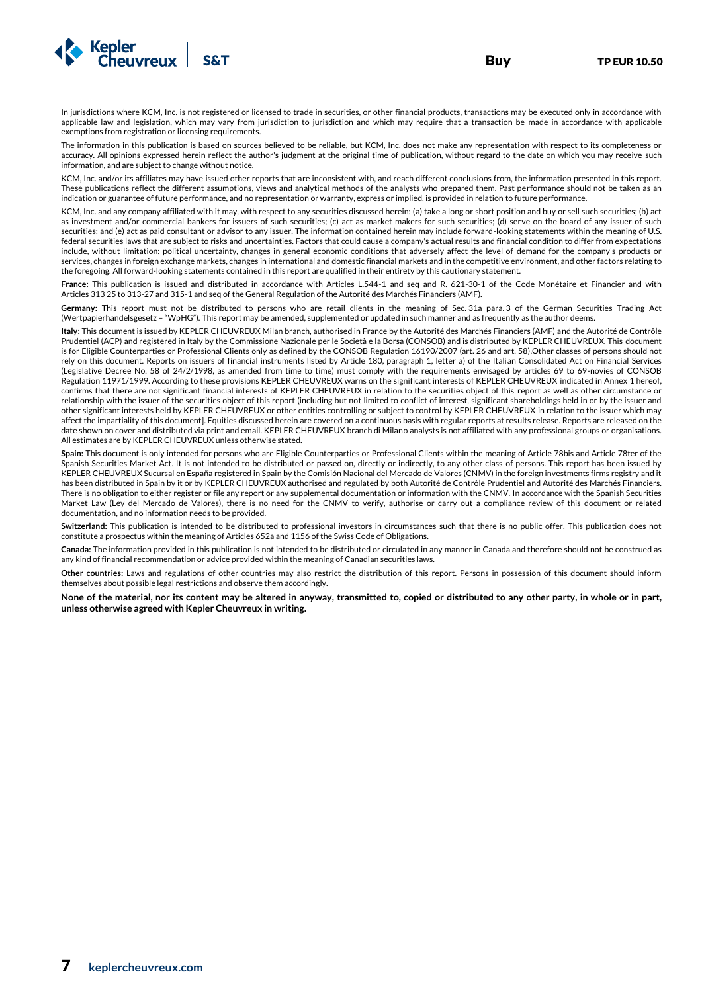

In jurisdictions where KCM, Inc. is not registered or licensed to trade in securities, or other financial products, transactions may be executed only in accordance with applicable law and legislation, which may vary from jurisdiction to jurisdiction and which may require that a transaction be made in accordance with applicable exemptions from registration or licensing requirements.

The information in this publication is based on sources believed to be reliable, but KCM, Inc. does not make any representation with respect to its completeness or accuracy. All opinions expressed herein reflect the author's judgment at the original time of publication, without regard to the date on which you may receive such information, and are subject to change without notice.

KCM, Inc. and/or its affiliates may have issued other reports that are inconsistent with, and reach different conclusions from, the information presented in this report. These publications reflect the different assumptions, views and analytical methods of the analysts who prepared them. Past performance should not be taken as an indication or guarantee of future performance, and no representation or warranty, express or implied, is provided in relation to future performance.

KCM, Inc. and any company affiliated with it may, with respect to any securities discussed herein: (a) take a long or short position and buy or sell such securities; (b) act as investment and/or commercial bankers for issuers of such securities; (c) act as market makers for such securities; (d) serve on the board of any issuer of such securities; and (e) act as paid consultant or advisor to any issuer. The information contained herein may include forward-looking statements within the meaning of U.S. federal securities laws that are subject to risks and uncertainties. Factors that could cause a company's actual results and financial condition to differ from expectations include, without limitation: political uncertainty, changes in general economic conditions that adversely affect the level of demand for the company's products or services, changes in foreign exchange markets, changes in international and domestic financial markets and in the competitive environment, and other factors relating to the foregoing. All forward-looking statements contained in this report are qualified in their entirety by this cautionary statement.

**France:** This publication is issued and distributed in accordance with Articles L.544-1 and seq and R. 621-30-1 of the Code Monétaire et Financier and with Articles 313 25 to 313-27 and 315-1 and seq of the General Regulation of the Autorité des Marchés Financiers (AMF).

**Germany:** This report must not be distributed to persons who are retail clients in the meaning of Sec. 31a para. 3 of the German Securities Trading Act (Wertpapierhandelsgesetz – "WpHG"). This report may be amended, supplemented or updated in such manner and as frequently as the author deems.

**Italy:** This document is issued by KEPLER CHEUVREUX Milan branch, authorised in France by the Autorité des Marchés Financiers (AMF) and the Autorité de Contrôle Prudentiel (ACP) and registered in Italy by the Commissione Nazionale per le Società e la Borsa (CONSOB) and is distributed by KEPLER CHEUVREUX. This document is for Eligible Counterparties or Professional Clients only as defined by the CONSOB Regulation 16190/2007 (art. 26 and art. 58).Other classes of persons should not rely on this document. Reports on issuers of financial instruments listed by Article 180, paragraph 1, letter a) of the Italian Consolidated Act on Financial Services (Legislative Decree No. 58 of 24/2/1998, as amended from time to time) must comply with the requirements envisaged by articles 69 to 69-novies of CONSOB Regulation 11971/1999. According to these provisions KEPLER CHEUVREUX warns on the significant interests of KEPLER CHEUVREUX indicated in Annex 1 hereof, confirms that there are not significant financial interests of KEPLER CHEUVREUX in relation to the securities object of this report as well as other circumstance or relationship with the issuer of the securities object of this report (including but not limited to conflict of interest, significant shareholdings held in or by the issuer and other significant interests held by KEPLER CHEUVREUX or other entities controlling or subject to control by KEPLER CHEUVREUX in relation to the issuer which may affect the impartiality of this document]. Equities discussed herein are covered on a continuous basis with regular reports at results release. Reports are released on the date shown on cover and distributed via print and email. KEPLER CHEUVREUX branch di Milano analysts is not affiliated with any professional groups or organisations. All estimates are by KEPLER CHEUVREUX unless otherwise stated.

**Spain:** This document is only intended for persons who are Eligible Counterparties or Professional Clients within the meaning of Article 78bis and Article 78ter of the Spanish Securities Market Act. It is not intended to be distributed or passed on, directly or indirectly, to any other class of persons. This report has been issued by KEPLER CHEUVREUX Sucursal en España registered in Spain by the Comisión Nacional del Mercado de Valores (CNMV) in the foreign investments firms registry and it has been distributed in Spain by it or by KEPLER CHEUVREUX authorised and regulated by both Autorité de Contrôle Prudentiel and Autorité des Marchés Financiers. There is no obligation to either register or file any report or any supplemental documentation or information with the CNMV. In accordance with the Spanish Securities Market Law (Ley del Mercado de Valores), there is no need for the CNMV to verify, authorise or carry out a compliance review of this document or related documentation, and no information needs to be provided.

**Switzerland:** This publication is intended to be distributed to professional investors in circumstances such that there is no public offer. This publication does not constitute a prospectus within the meaning of Articles 652a and 1156 of the Swiss Code of Obligations.

**Canada:** The information provided in this publication is not intended to be distributed or circulated in any manner in Canada and therefore should not be construed as any kind of financial recommendation or advice provided within the meaning of Canadian securities laws.

**Other countries:** Laws and regulations of other countries may also restrict the distribution of this report. Persons in possession of this document should inform themselves about possible legal restrictions and observe them accordingly.

**None of the material, nor its content may be altered in anyway, transmitted to, copied or distributed to any other party, in whole or in part, unless otherwise agreed with Kepler Cheuvreux in writing.**